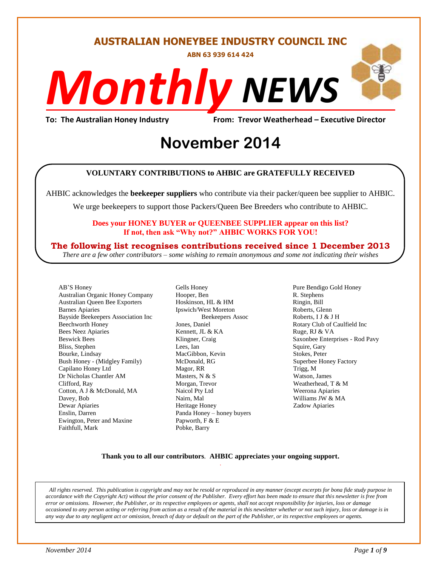#### **AUSTRALIAN HONEYBEE INDUSTRY COUNCIL INC**

**ABN 63 939 614 424**

# *NEWS Monthly*

**To: The Australian Honey Industry From: Trevor Weatherhead – Executive Director**

## Erom: Trevor Weather<br> **November** 2014

#### **VOLUNTARY CONTRIBUTIONS to AHBIC are GRATEFULLY RECEIVED**

AHBIC acknowledges the **beekeeper suppliers** who contribute via their packer/queen bee supplier to AHBIC.

We urge beekeepers to support those Packers/Queen Bee Breeders who contribute to AHBIC.

#### **Does your HONEY BUYER or QUEENBEE SUPPLIER appear on this list? If not, then ask "Why not?" AHBIC WORKS FOR YOU!**

#### **The following list recognises contributions received since 1 December 2013**

*There are a few other contributors – some wishing to remain anonymous and some not indicating their wishes*

AB'S Honey Australian Organic Honey Company Australian Queen Bee Exporters Barnes Apiaries Bayside Beekeepers Association Inc Beechworth Honey Bees Neez Apiaries Beswick Bees Bliss, Stephen Bourke, Lindsay Bush Honey - (Midgley Family) Capilano Honey Ltd Dr Nicholas Chantler AM Clifford, Ray Cotton, A J & McDonald, MA Davey, Bob Dewar Apiaries Enslin, Darren Ewington, Peter and Maxine Faithfull, Mark

Gells Honey Hooper, Ben Hoskinson, HL & HM Ipswich/West Moreton Beekeepers Assoc Jones, Daniel Kennett, JL & KA Klingner, Craig Lees, Ian MacGibbon, Kevin McDonald, RG Magor, RR Masters, N & S Morgan, Trevor Naicol Pty Ltd Nairn, Mal Heritage Honey Panda Honey – honey buyers Papworth, F & E Pobke, Barry

Pure Bendigo Gold Honey R. Stephens Ringin, Bill Roberts, Glenn Roberts, I J & J H Rotary Club of Caulfield Inc Ruge, RJ & VA Saxonbee Enterprises - Rod Pavy Squire, Gary Stokes, Peter Superbee Honey Factory Trigg, M Watson, James Weatherhead, T & M Weerona Apiaries Williams JW & MA Zadow Apiaries

#### **Thank you to all our contributors***.* **AHBIC appreciates your ongoing support.** .

*All rights reserved. This publication is copyright and may not be resold or reproduced in any manner (except excerpts for bona fide study purpose in accordance with the Copyright Act) without the prior consent of the Publisher. Every effort has been made to ensure that this newsletter is free from error or omissions. However, the Publisher, or its respective employees or agents, shall not accept responsibility for injuries, loss or damage occasioned to any person acting or referring from action as a result of the material in this newsletter whether or not such injury, loss or damage is in any way due to any negligent act or omission, breach of duty or default on the part of the Publisher, or its respective employees or agents.*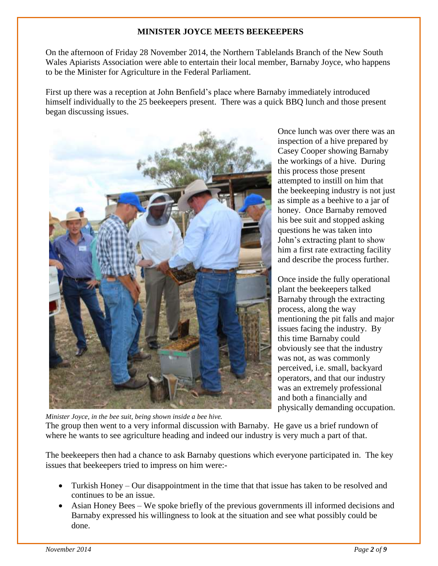#### **MINISTER JOYCE MEETS BEEKEEPERS**

On the afternoon of Friday 28 November 2014, the Northern Tablelands Branch of the New South Wales Apiarists Association were able to entertain their local member, Barnaby Joyce, who happens to be the Minister for Agriculture in the Federal Parliament.

First up there was a reception at John Benfield's place where Barnaby immediately introduced himself individually to the 25 beekeepers present. There was a quick BBQ lunch and those present began discussing issues.



Once lunch was over there was an inspection of a hive prepared by Casey Cooper showing Barnaby the workings of a hive. During this process those present attempted to instill on him that the beekeeping industry is not just as simple as a beehive to a jar of honey. Once Barnaby removed his bee suit and stopped asking questions he was taken into John's extracting plant to show him a first rate extracting facility and describe the process further.

Once inside the fully operational plant the beekeepers talked Barnaby through the extracting process, along the way mentioning the pit falls and major issues facing the industry. By this time Barnaby could obviously see that the industry was not, as was commonly perceived, i.e. small, backyard operators, and that our industry was an extremely professional and both a financially and physically demanding occupation.

*Minister Joyce, in the bee suit, being shown inside a bee hive.* The group then went to a very informal discussion with Barnaby. He gave us a brief rundown of where he wants to see agriculture heading and indeed our industry is very much a part of that.

The beekeepers then had a chance to ask Barnaby questions which everyone participated in. The key issues that beekeepers tried to impress on him were:-

- Turkish Honey Our disappointment in the time that that issue has taken to be resolved and continues to be an issue.
- Asian Honey Bees We spoke briefly of the previous governments ill informed decisions and Barnaby expressed his willingness to look at the situation and see what possibly could be done.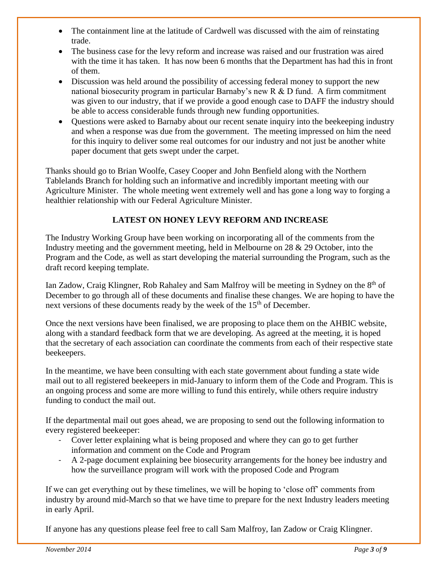- The containment line at the latitude of Cardwell was discussed with the aim of reinstating trade.
- The business case for the levy reform and increase was raised and our frustration was aired with the time it has taken. It has now been 6 months that the Department has had this in front of them.
- Discussion was held around the possibility of accessing federal money to support the new national biosecurity program in particular Barnaby's new R & D fund. A firm commitment was given to our industry, that if we provide a good enough case to DAFF the industry should be able to access considerable funds through new funding opportunities.
- Ouestions were asked to Barnaby about our recent senate inquiry into the beekeeping industry and when a response was due from the government. The meeting impressed on him the need for this inquiry to deliver some real outcomes for our industry and not just be another white paper document that gets swept under the carpet.

Thanks should go to Brian Woolfe, Casey Cooper and John Benfield along with the Northern Tablelands Branch for holding such an informative and incredibly important meeting with our Agriculture Minister. The whole meeting went extremely well and has gone a long way to forging a healthier relationship with our Federal Agriculture Minister.

#### **LATEST ON HONEY LEVY REFORM AND INCREASE**

The Industry Working Group have been working on incorporating all of the comments from the Industry meeting and the government meeting, held in Melbourne on 28 & 29 October, into the Program and the Code, as well as start developing the material surrounding the Program, such as the draft record keeping template.

Ian Zadow, Craig Klingner, Rob Rahaley and Sam Malfroy will be meeting in Sydney on the  $8<sup>th</sup>$  of December to go through all of these documents and finalise these changes. We are hoping to have the next versions of these documents ready by the week of the 15<sup>th</sup> of December.

Once the next versions have been finalised, we are proposing to place them on the AHBIC website, along with a standard feedback form that we are developing. As agreed at the meeting, it is hoped that the secretary of each association can coordinate the comments from each of their respective state beekeepers.

In the meantime, we have been consulting with each state government about funding a state wide mail out to all registered beekeepers in mid-January to inform them of the Code and Program. This is an ongoing process and some are more willing to fund this entirely, while others require industry funding to conduct the mail out.

If the departmental mail out goes ahead, we are proposing to send out the following information to every registered beekeeper:

- Cover letter explaining what is being proposed and where they can go to get further information and comment on the Code and Program
- A 2-page document explaining bee biosecurity arrangements for the honey bee industry and how the surveillance program will work with the proposed Code and Program

If we can get everything out by these timelines, we will be hoping to 'close off' comments from industry by around mid-March so that we have time to prepare for the next Industry leaders meeting in early April.

If anyone has any questions please feel free to call Sam Malfroy, Ian Zadow or Craig Klingner.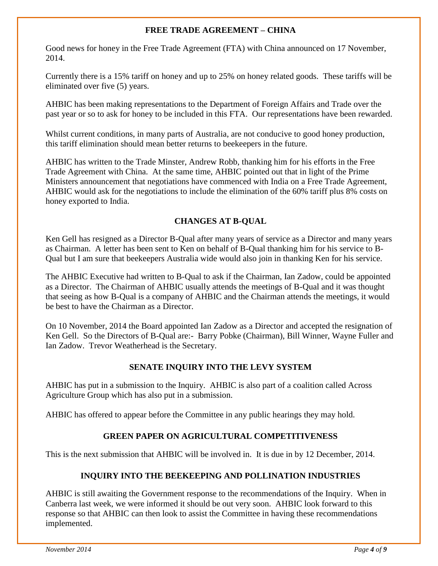#### **FREE TRADE AGREEMENT – CHINA**

Good news for honey in the Free Trade Agreement (FTA) with China announced on 17 November, 2014.

Currently there is a 15% tariff on honey and up to 25% on honey related goods. These tariffs will be eliminated over five (5) years.

AHBIC has been making representations to the Department of Foreign Affairs and Trade over the past year or so to ask for honey to be included in this FTA. Our representations have been rewarded.

Whilst current conditions, in many parts of Australia, are not conducive to good honey production, this tariff elimination should mean better returns to beekeepers in the future.

AHBIC has written to the Trade Minster, Andrew Robb, thanking him for his efforts in the Free Trade Agreement with China. At the same time, AHBIC pointed out that in light of the Prime Ministers announcement that negotiations have commenced with India on a Free Trade Agreement, AHBIC would ask for the negotiations to include the elimination of the 60% tariff plus 8% costs on honey exported to India.

#### **CHANGES AT B-QUAL**

Ken Gell has resigned as a Director B-Qual after many years of service as a Director and many years as Chairman. A letter has been sent to Ken on behalf of B-Qual thanking him for his service to B-Qual but I am sure that beekeepers Australia wide would also join in thanking Ken for his service.

The AHBIC Executive had written to B-Qual to ask if the Chairman, Ian Zadow, could be appointed as a Director. The Chairman of AHBIC usually attends the meetings of B-Qual and it was thought that seeing as how B-Qual is a company of AHBIC and the Chairman attends the meetings, it would be best to have the Chairman as a Director.

On 10 November, 2014 the Board appointed Ian Zadow as a Director and accepted the resignation of Ken Gell. So the Directors of B-Qual are:- Barry Pobke (Chairman), Bill Winner, Wayne Fuller and Ian Zadow. Trevor Weatherhead is the Secretary.

#### **SENATE INQUIRY INTO THE LEVY SYSTEM**

AHBIC has put in a submission to the Inquiry. AHBIC is also part of a coalition called Across Agriculture Group which has also put in a submission.

AHBIC has offered to appear before the Committee in any public hearings they may hold.

#### **GREEN PAPER ON AGRICULTURAL COMPETITIVENESS**

This is the next submission that AHBIC will be involved in. It is due in by 12 December, 2014.

#### **INQUIRY INTO THE BEEKEEPING AND POLLINATION INDUSTRIES**

AHBIC is still awaiting the Government response to the recommendations of the Inquiry. When in Canberra last week, we were informed it should be out very soon. AHBIC look forward to this response so that AHBIC can then look to assist the Committee in having these recommendations implemented.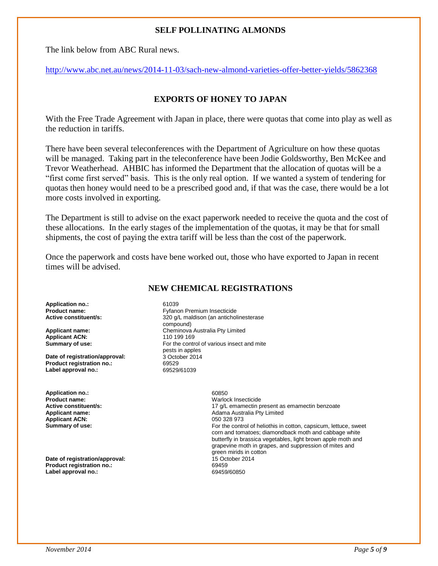#### **SELF POLLINATING ALMONDS**

The link below from ABC Rural news.

<http://www.abc.net.au/news/2014-11-03/sach-new-almond-varieties-offer-better-yields/5862368>

#### **EXPORTS OF HONEY TO JAPAN**

With the Free Trade Agreement with Japan in place, there were quotas that come into play as well as the reduction in tariffs.

There have been several teleconferences with the Department of Agriculture on how these quotas will be managed. Taking part in the teleconference have been Jodie Goldsworthy, Ben McKee and Trevor Weatherhead. AHBIC has informed the Department that the allocation of quotas will be a "first come first served" basis. This is the only real option. If we wanted a system of tendering for quotas then honey would need to be a prescribed good and, if that was the case, there would be a lot more costs involved in exporting.

The Department is still to advise on the exact paperwork needed to receive the quota and the cost of these allocations. In the early stages of the implementation of the quotas, it may be that for small shipments, the cost of paying the extra tariff will be less than the cost of the paperwork.

Once the paperwork and costs have bene worked out, those who have exported to Japan in recent times will be advised.

#### **NEW CHEMICAL REGISTRATIONS**

**Application no.:** 61039

**Applicant ACN:**<br>Summary of use:

**Date of registration/approval: Product registration no.:** 69529<br> **Label approval no.:** 69529/61039 **Label approval no.:** 

**Application no.:** 60850 **Product name:** Warlock Insecticide **Applicant ACN:**<br>Summary of use:

**Date of registration/approval: Product registration no.:** 69459 Label approval no.:

**Product name: Product name: Product name: Active constituent/s: Product name:** 320 a/L maldison (an antichol 320 g/L maldison (an anticholinesterase compound) **Applicant name:** <br> **Applicant ACN:** <br> **Cheminova Australia Pty Limited Applicant ACN:** <br> **Cheminova Australia Pty Limited Applicant ACN:** For the control of various insect and mite pests in apples<br>3 October 2014

17 g/L emamectin present as emamectin benzoate **Applicant name:** <br> **Adama Australia Pty Limited**<br> **Applicant ACN:** <br> **Applicant ACN:** <br> **Applicant ACN:** <br> **Applicant ACN:** <br> **Applicant ACN:** <br> **Applicant ACN:** <br> **Applicant ACN:** <br> **Applicant ACN:** <br> **Applicant ACN:** <br> For the control of heliothis in cotton, capsicum, lettuce, sweet corn and tomatoes; diamondback moth and cabbage white butterfly in brassica vegetables, light brown apple moth and grapevine moth in grapes, and suppression of mites and green mirids in cotton<br>15 October 2014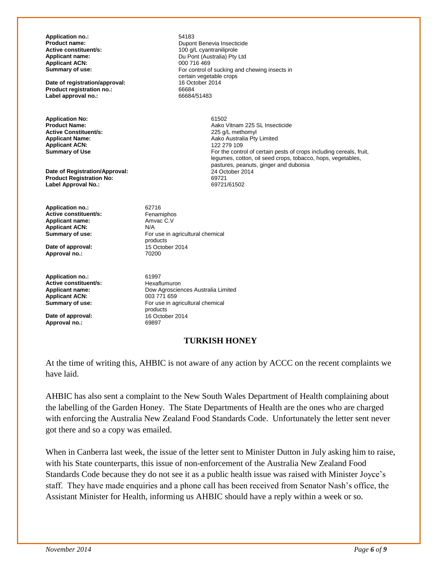**Application no.:** 54183<br>**Product name:** Dupon **Applicant ACN:**<br>Summary of use:

**Date of registration/approval:** 16 October 2014<br> **Product registration no.:** 66684 **Product registration no.:** 66684<br> **Label approval no.:** 66684/51483 **Label approval no.:** 

**Application No:** 61502<br>**Product Name:** 62.000 Application Application Application Application Application Application Application Application Application Application Application Application Application Application Applica **Active Constituent/s:**<br>Applicant Name: **Applicant ACN:**<br>Summary of Use

**Date of Registration/Approval:** 24 October 24 October 2014<br> **Product Registration No:** 69721 **Product Registration No:** 69721 **Label Approval No.:** 

**Application no.:** 62716<br> **Active constituent/s:** Fenamiphos **Active constituent/s:** Fenamiphos<br> **Applicant name:** Amvac C.V **Applicant name: Applicant ACN:** N/A<br> **Summary of use:** For

**Date of approval: Approval no.:** 70200

**Application no.:** 61997<br> **Active constituent/s:** Hexaflumuron **Active constituent/s: Applicant ACN:** 

**Date of approval:** 16 October 2014<br> **Approval no.:** 69897 Approval no.:

**Product name:** Dupont Benevia Insecticide **Active constituent/s:** <br> **Applicant name:** <br> **Applicant name:** <br> **Applicant name:** <br> **Applicant name:** <br> **Applicant name:** <br> **Applicant name:** <br> **Applicant name:** <br> **Applicant name:** <br> **Applicant name:** <br> **Applicant name:** Du Pont (Australia) Pty Ltd<br>000 716 469 For control of sucking and chewing insects in certain vegetable crops<br>16 October 2014

> Aako Vitnam 225 SL Insecticide<br>225 g/L methomyl Aako Australia Pty Limited<br>122 279 109 For the control of certain pests of crops including cereals, fruit, legumes, cotton, oil seed crops, tobacco, hops, vegetables, pastures, peanuts, ginger and duboisia

For use in agricultural chemical products<br>15 October 2014

**Applicant name:** Dow Agrosciences Australia Limited **Summary of use:** For use in agricultural chemical products<br>16 October 2014

#### **TURKISH HONEY**

At the time of writing this, AHBIC is not aware of any action by ACCC on the recent complaints we have laid.

AHBIC has also sent a complaint to the New South Wales Department of Health complaining about the labelling of the Garden Honey. The State Departments of Health are the ones who are charged with enforcing the Australia New Zealand Food Standards Code. Unfortunately the letter sent never got there and so a copy was emailed.

When in Canberra last week, the issue of the letter sent to Minister Dutton in July asking him to raise, with his State counterparts, this issue of non-enforcement of the Australia New Zealand Food Standards Code because they do not see it as a public health issue was raised with Minister Joyce's staff. They have made enquiries and a phone call has been received from Senator Nash's office, the Assistant Minister for Health, informing us AHBIC should have a reply within a week or so.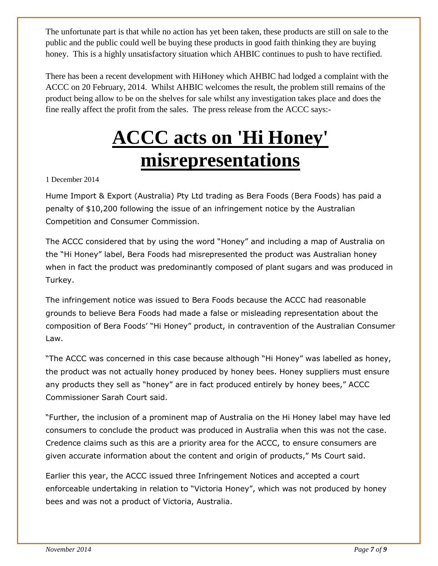The unfortunate part is that while no action has yet been taken, these products are still on sale to the public and the public could well be buying these products in good faith thinking they are buying honey. This is a highly unsatisfactory situation which AHBIC continues to push to have rectified.

There has been a recent development with HiHoney which AHBIC had lodged a complaint with the ACCC on 20 February, 2014. Whilst AHBIC welcomes the result, the problem still remains of the product being allow to be on the shelves for sale whilst any investigation takes place and does the fine really affect the profit from the sales. The press release from the ACCC says:-

### **ACCC acts on 'Hi Honey' misrepresentations**

1 December 2014

Hume Import & Export (Australia) Pty Ltd trading as Bera Foods (Bera Foods) has paid a penalty of \$10,200 following the issue of an infringement notice by the Australian Competition and Consumer Commission.

The ACCC considered that by using the word "Honey" and including a map of Australia on the "Hi Honey" label, Bera Foods had misrepresented the product was Australian honey when in fact the product was predominantly composed of plant sugars and was produced in Turkey.

The infringement notice was issued to Bera Foods because the ACCC had reasonable grounds to believe Bera Foods had made a false or misleading representation about the composition of Bera Foods' "Hi Honey" product, in contravention of the Australian Consumer Law.

"The ACCC was concerned in this case because although "Hi Honey" was labelled as honey, the product was not actually honey produced by honey bees. Honey suppliers must ensure any products they sell as "honey" are in fact produced entirely by honey bees," ACCC Commissioner Sarah Court said.

"Further, the inclusion of a prominent map of Australia on the Hi Honey label may have led consumers to conclude the product was produced in Australia when this was not the case. Credence claims such as this are a priority area for the ACCC, to ensure consumers are given accurate information about the content and origin of products," Ms Court said.

Earlier this year, the ACCC issued three Infringement Notices and accepted a court enforceable undertaking in relation to "Victoria Honey", which was not produced by honey bees and was not a product of Victoria, Australia.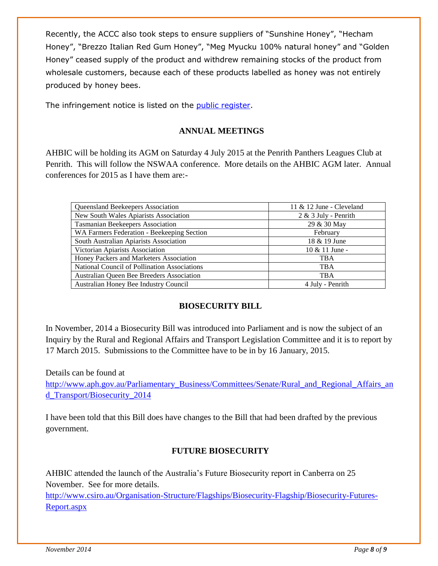Recently, the ACCC also took steps to ensure suppliers of "Sunshine Honey", "Hecham Honey", "Brezzo Italian Red Gum Honey", "Meg Myucku 100% natural honey" and "Golden Honey" ceased supply of the product and withdrew remaining stocks of the product from wholesale customers, because each of these products labelled as honey was not entirely produced by honey bees.

The infringement notice is listed on the [public register.](http://registers.accc.gov.au/content/index.phtml/itemId/1183188)

#### **ANNUAL MEETINGS**

AHBIC will be holding its AGM on Saturday 4 July 2015 at the Penrith Panthers Leagues Club at Penrith. This will follow the NSWAA conference. More details on the AHBIC AGM later. Annual conferences for 2015 as I have them are:-

| Queensland Beekeepers Association                   | 11 & 12 June - Cleveland |
|-----------------------------------------------------|--------------------------|
| New South Wales Apiarists Association               | $2 & 3$ July - Penrith   |
| Tasmanian Beekeepers Association                    | 29 & 30 May              |
| WA Farmers Federation - Beekeeping Section          | February                 |
| South Australian Apiarists Association              | 18 & 19 June             |
| Victorian Apiarists Association                     | $10 \& 11$ June -        |
| Honey Packers and Marketers Association             | <b>TBA</b>               |
| <b>National Council of Pollination Associations</b> | <b>TBA</b>               |
| Australian Queen Bee Breeders Association           | <b>TBA</b>               |
| Australian Honey Bee Industry Council               | 4 July - Penrith         |

#### **BIOSECURITY BILL**

In November, 2014 a Biosecurity Bill was introduced into Parliament and is now the subject of an Inquiry by the Rural and Regional Affairs and Transport Legislation Committee and it is to report by 17 March 2015. Submissions to the Committee have to be in by 16 January, 2015.

Details can be found at

[http://www.aph.gov.au/Parliamentary\\_Business/Committees/Senate/Rural\\_and\\_Regional\\_Affairs\\_an](http://www.aph.gov.au/Parliamentary_Business/Committees/Senate/Rural_and_Regional_Affairs_and_Transport/Biosecurity_2014) [d\\_Transport/Biosecurity\\_2014](http://www.aph.gov.au/Parliamentary_Business/Committees/Senate/Rural_and_Regional_Affairs_and_Transport/Biosecurity_2014)

I have been told that this Bill does have changes to the Bill that had been drafted by the previous government.

#### **FUTURE BIOSECURITY**

AHBIC attended the launch of the Australia's Future Biosecurity report in Canberra on 25 November. See for more details.

[http://www.csiro.au/Organisation-Structure/Flagships/Biosecurity-Flagship/Biosecurity-Futures-](http://www.csiro.au/Organisation-Structure/Flagships/Biosecurity-Flagship/Biosecurity-Futures-Report.aspx)[Report.aspx](http://www.csiro.au/Organisation-Structure/Flagships/Biosecurity-Flagship/Biosecurity-Futures-Report.aspx)